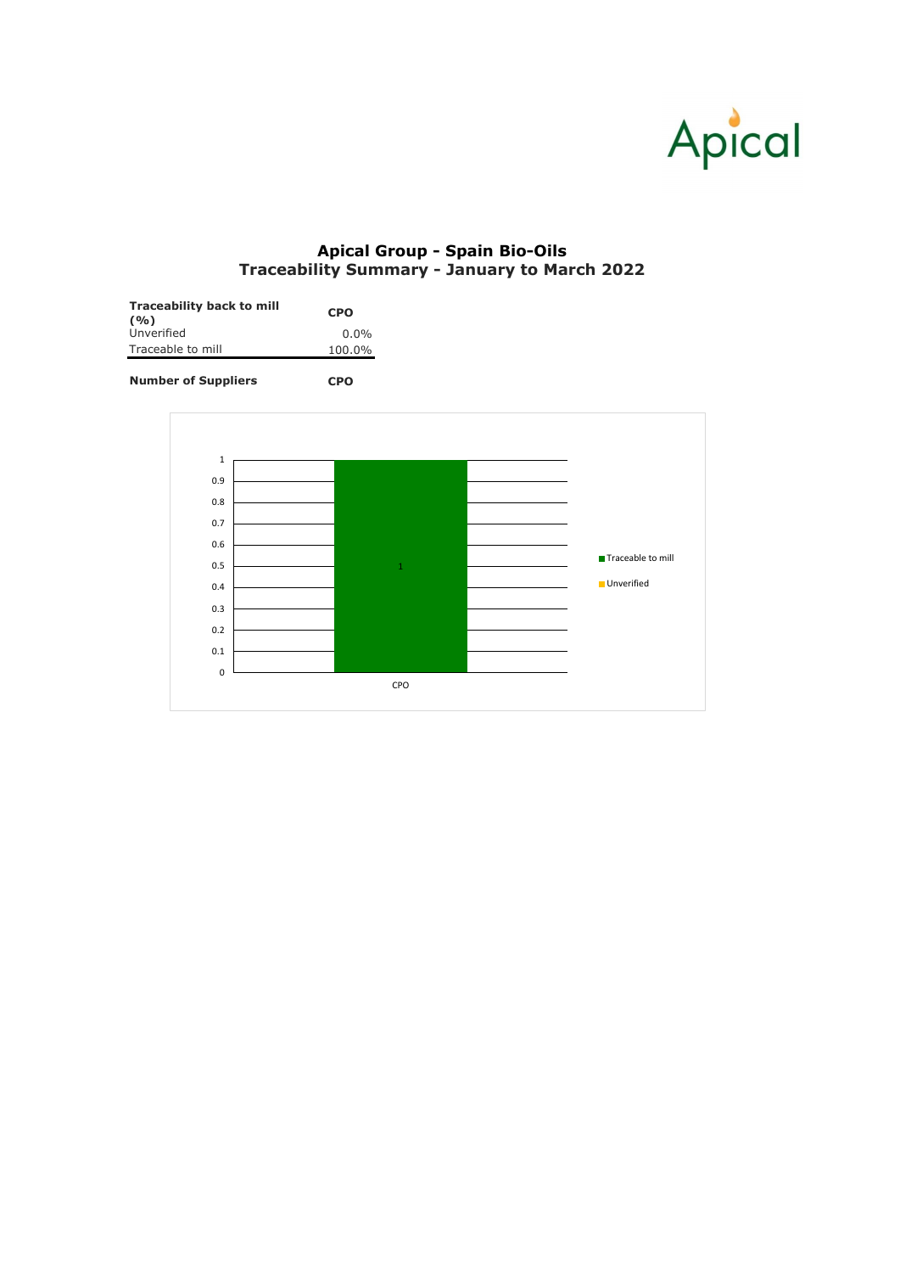| <b>Traceability back to mill</b><br>(9/0) | <b>CPO</b> |  |  |  |
|-------------------------------------------|------------|--|--|--|
| Unverified                                | $0.0\%$    |  |  |  |
| Traceable to mill                         | 100.0%     |  |  |  |





## **Apical Group - Spain Bio-Oils Traceability Summary - January to March 2022**